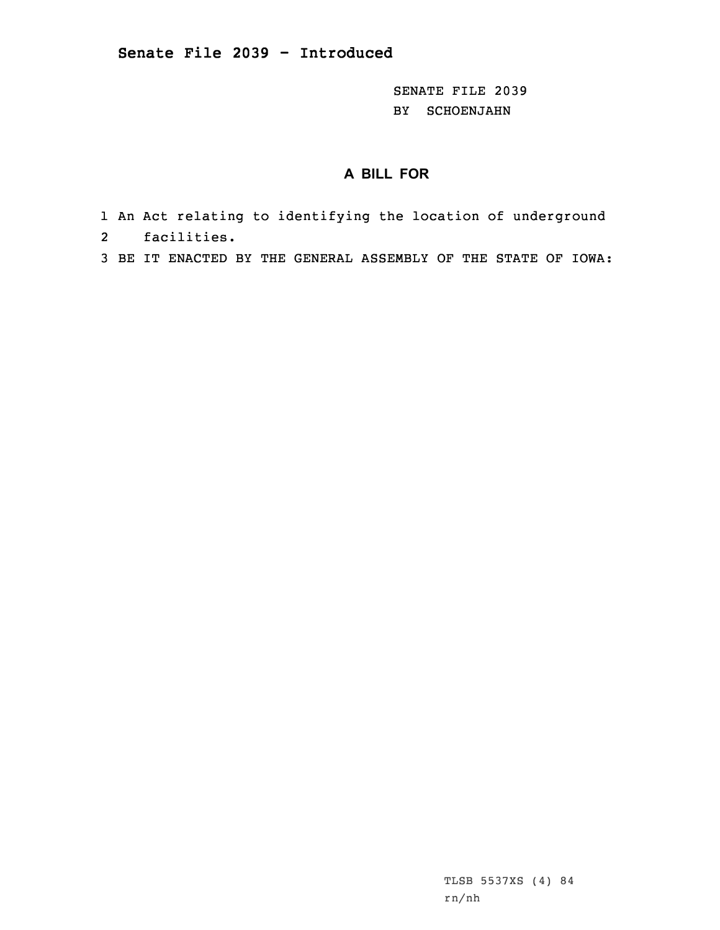SENATE FILE 2039 BY SCHOENJAHN

## **A BILL FOR**

- 1 An Act relating to identifying the location of underground 2facilities.
- 3 BE IT ENACTED BY THE GENERAL ASSEMBLY OF THE STATE OF IOWA:

TLSB 5537XS (4) 84 rn/nh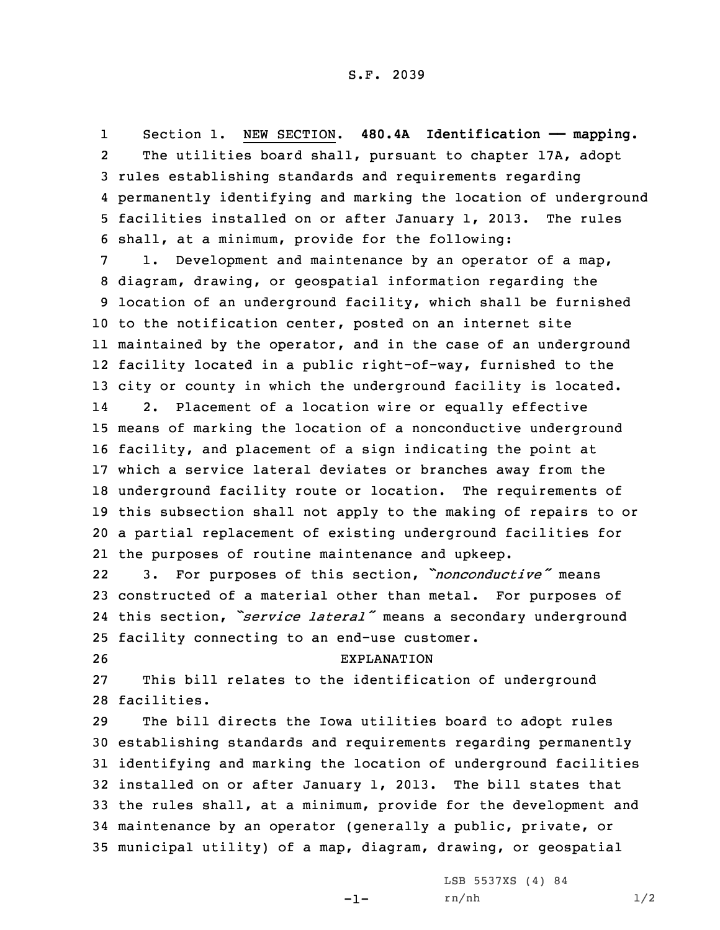1 Section 1. NEW SECTION. **480.4A Identification —— mapping.** 2 The utilities board shall, pursuant to chapter 17A, adopt 3 rules establishing standards and requirements regarding 4 permanently identifying and marking the location of underground 5 facilities installed on or after January 1, 2013. The rules 6 shall, at <sup>a</sup> minimum, provide for the following:

 1. Development and maintenance by an operator of <sup>a</sup> map, diagram, drawing, or geospatial information regarding the location of an underground facility, which shall be furnished to the notification center, posted on an internet site maintained by the operator, and in the case of an underground facility located in <sup>a</sup> public right-of-way, furnished to the city or county in which the underground facility is located. 14 2. Placement of <sup>a</sup> location wire or equally effective means of marking the location of <sup>a</sup> nonconductive underground facility, and placement of <sup>a</sup> sign indicating the point at which <sup>a</sup> service lateral deviates or branches away from the underground facility route or location. The requirements of this subsection shall not apply to the making of repairs to or <sup>a</sup> partial replacement of existing underground facilities for the purposes of routine maintenance and upkeep.

22 3. For purposes of this section, *"nonconductive"* means 23 constructed of <sup>a</sup> material other than metal. For purposes of 24 this section, *"service lateral"* means <sup>a</sup> secondary underground 25 facility connecting to an end-use customer.

## 26 EXPLANATION

27 This bill relates to the identification of underground 28 facilities.

 The bill directs the Iowa utilities board to adopt rules establishing standards and requirements regarding permanently identifying and marking the location of underground facilities installed on or after January 1, 2013. The bill states that the rules shall, at <sup>a</sup> minimum, provide for the development and maintenance by an operator (generally <sup>a</sup> public, private, or municipal utility) of <sup>a</sup> map, diagram, drawing, or geospatial

-1-

LSB 5537XS (4) 84 rn/nh 1/2